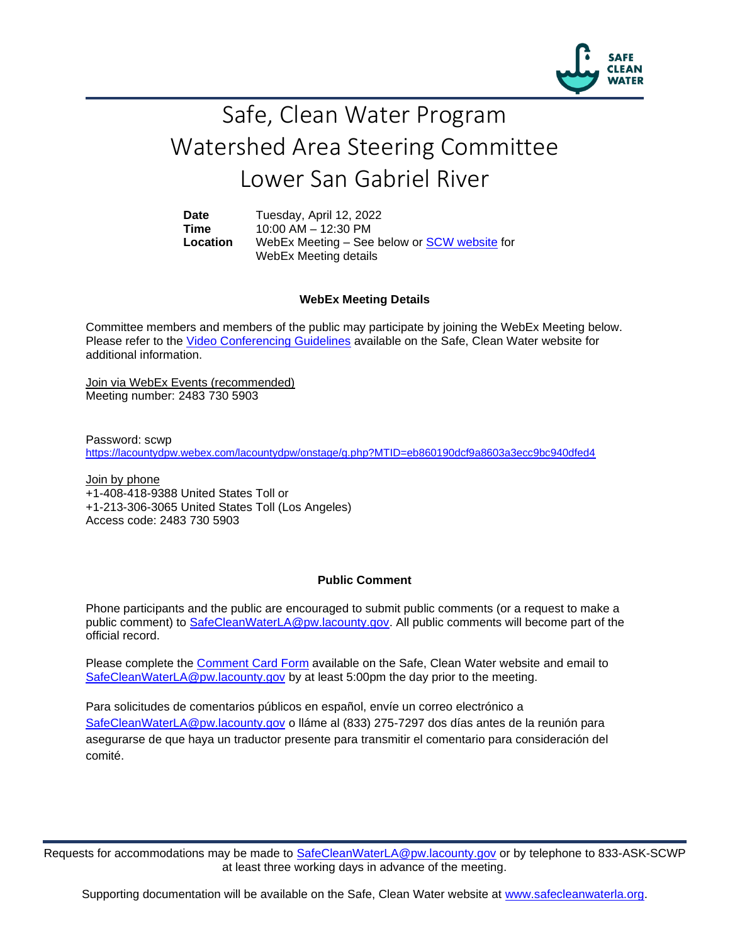

## Safe, Clean Water Program Watershed Area Steering Committee Lower San Gabriel River

**Date** Tuesday, April 12, 2022 **Time** 10:00 AM – 12:30 PM **Location** WebEx Meeting – See below or [SCW website](https://safecleanwaterla.org/lower-san-gabriel-river-watershed-area/) for WebEx Meeting details

## **WebEx Meeting Details**

Committee members and members of the public may participate by joining the WebEx Meeting below. Please refer to the [Video Conferencing Guidelines](https://safecleanwaterla.org/video-conference-guidelines/) available on the Safe, Clean Water website for additional information.

Join via WebEx Events (recommended) Meeting number: 2483 730 5903

Password: scwp <https://lacountydpw.webex.com/lacountydpw/onstage/g.php?MTID=eb860190dcf9a8603a3ecc9bc940dfed4>

Join by phone +1-408-418-9388 United States Toll or +1-213-306-3065 United States Toll (Los Angeles) Access code: 2483 730 5903

## **Public Comment**

Phone participants and the public are encouraged to submit public comments (or a request to make a public comment) to [SafeCleanWaterLA@pw.lacounty.gov.](mailto:SafeCleanWaterLA@pw.lacounty.gov) All public comments will become part of the official record.

Please complete the Comment [Card Form](https://safecleanwaterla.org/wp-content/uploads/2020/04/Comment-Card-Form.pdf) available on the Safe, Clean Water website and email to [SafeCleanWaterLA@pw.lacounty.gov](mailto:SafeCleanWaterLA@pw.lacounty.govb) by at least 5:00pm the day prior to the meeting.

Para solicitudes de comentarios públicos en español, envíe un correo electrónico a [SafeCleanWaterLA@pw.lacounty.gov](mailto:SafeCleanWaterLA@pw.lacounty.gov) o lláme al (833) 275-7297 dos días antes de la reunión para asegurarse de que haya un traductor presente para transmitir el comentario para consideración del comité.

Requests for accommodations may be made to [SafeCleanWaterLA@pw.lacounty.gov](mailto:SafeCleanWaterLA@pw.lacounty.gov) or by telephone to 833-ASK-SCWP at least three working days in advance of the meeting.

Supporting documentation will be available on the Safe, Clean Water website at [www.safecleanwaterla.org.](http://www.safecleanwaterla.org/)